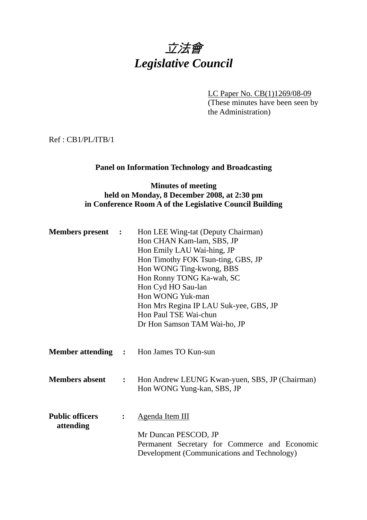# 立法會 *Legislative Council*

LC Paper No. CB(1)1269/08-09 (These minutes have been seen by the Administration)

Ref : CB1/PL/ITB/1

# **Panel on Information Technology and Broadcasting**

# **Minutes of meeting held on Monday, 8 December 2008, at 2:30 pm in Conference Room A of the Legislative Council Building**

| <b>Members present :</b>                |                | Hon LEE Wing-tat (Deputy Chairman)<br>Hon CHAN Kam-lam, SBS, JP<br>Hon Emily LAU Wai-hing, JP<br>Hon Timothy FOK Tsun-ting, GBS, JP<br>Hon WONG Ting-kwong, BBS<br>Hon Ronny TONG Ka-wah, SC<br>Hon Cyd HO Sau-lan<br>Hon WONG Yuk-man<br>Hon Mrs Regina IP LAU Suk-yee, GBS, JP<br>Hon Paul TSE Wai-chun<br>Dr Hon Samson TAM Wai-ho, JP |
|-----------------------------------------|----------------|-------------------------------------------------------------------------------------------------------------------------------------------------------------------------------------------------------------------------------------------------------------------------------------------------------------------------------------------|
|                                         |                | <b>Member attending : Hon James TO Kun-sun</b>                                                                                                                                                                                                                                                                                            |
| <b>Members absent</b><br>$\ddot{\cdot}$ |                | Hon Andrew LEUNG Kwan-yuen, SBS, JP (Chairman)<br>Hon WONG Yung-kan, SBS, JP                                                                                                                                                                                                                                                              |
| <b>Public officers</b><br>attending     | $\ddot{\cdot}$ | <b>Agenda Item III</b><br>Mr Duncan PESCOD, JP<br>Permanent Secretary for Commerce and Economic<br>Development (Communications and Technology)                                                                                                                                                                                            |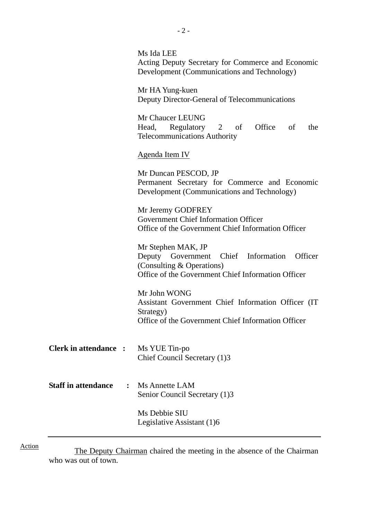|                                              | Ms Ida LEE<br>Acting Deputy Secretary for Commerce and Economic<br>Development (Communications and Technology)                                       |  |
|----------------------------------------------|------------------------------------------------------------------------------------------------------------------------------------------------------|--|
|                                              | Mr HA Yung-kuen<br>Deputy Director-General of Telecommunications                                                                                     |  |
|                                              | Mr Chaucer LEUNG<br>Head, Regulatory 2<br>Office<br>of<br>of<br>the<br><b>Telecommunications Authority</b>                                           |  |
|                                              | <b>Agenda Item IV</b>                                                                                                                                |  |
|                                              | Mr Duncan PESCOD, JP<br>Permanent Secretary for Commerce and Economic<br>Development (Communications and Technology)                                 |  |
|                                              | Mr Jeremy GODFREY<br><b>Government Chief Information Officer</b><br>Office of the Government Chief Information Officer                               |  |
|                                              | Mr Stephen MAK, JP<br>Deputy Government Chief Information Officer<br>(Consulting & Operations)<br>Office of the Government Chief Information Officer |  |
|                                              | Mr John WONG<br>Assistant Government Chief Information Officer (IT)<br>Strategy)<br>Office of the Government Chief Information Officer               |  |
| <b>Clerk in attendance :</b>                 | Ms YUE Tin-po<br>Chief Council Secretary (1)3                                                                                                        |  |
| <b>Staff in attendance</b><br>$\ddot{\cdot}$ | Ms Annette LAM<br>Senior Council Secretary (1)3                                                                                                      |  |
|                                              | Ms Debbie SIU<br>Legislative Assistant (1)6                                                                                                          |  |

The Deputy Chairman chaired the meeting in the absence of the Chairman who was out of town.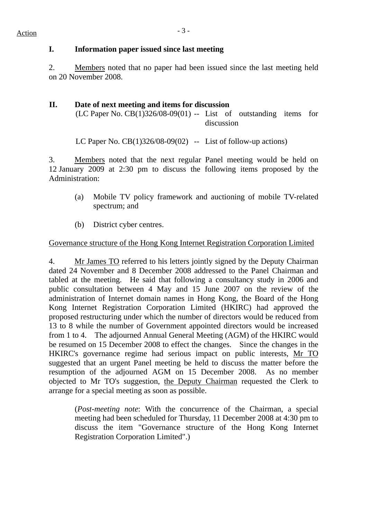#### **I. Information paper issued since last meeting**

2. Members noted that no paper had been issued since the last meeting held on 20 November 2008.

# **II. Date of next meeting and items for discussion**

(LC Paper No.  $CB(1)326/08-09(01)$  -- List of outstanding items for discussion

LC Paper No.  $CB(1)326/08-09(02)$  -- List of follow-up actions)

3. Members noted that the next regular Panel meeting would be held on 12 January 2009 at 2:30 pm to discuss the following items proposed by the Administration:

- (a) Mobile TV policy framework and auctioning of mobile TV-related spectrum; and
- (b) District cyber centres.

# Governance structure of the Hong Kong Internet Registration Corporation Limited

4. Mr James TO referred to his letters jointly signed by the Deputy Chairman dated 24 November and 8 December 2008 addressed to the Panel Chairman and tabled at the meeting. He said that following a consultancy study in 2006 and public consultation between 4 May and 15 June 2007 on the review of the administration of Internet domain names in Hong Kong, the Board of the Hong Kong Internet Registration Corporation Limited (HKIRC) had approved the proposed restructuring under which the number of directors would be reduced from 13 to 8 while the number of Government appointed directors would be increased from 1 to 4. The adjourned Annual General Meeting (AGM) of the HKIRC would be resumed on 15 December 2008 to effect the changes. Since the changes in the HKIRC's governance regime had serious impact on public interests, Mr TO suggested that an urgent Panel meeting be held to discuss the matter before the resumption of the adjourned AGM on 15 December 2008. As no member objected to Mr TO's suggestion, the Deputy Chairman requested the Clerk to arrange for a special meeting as soon as possible.

(*Post-meeting note*: With the concurrence of the Chairman, a special meeting had been scheduled for Thursday, 11 December 2008 at 4:30 pm to discuss the item "Governance structure of the Hong Kong Internet Registration Corporation Limited".)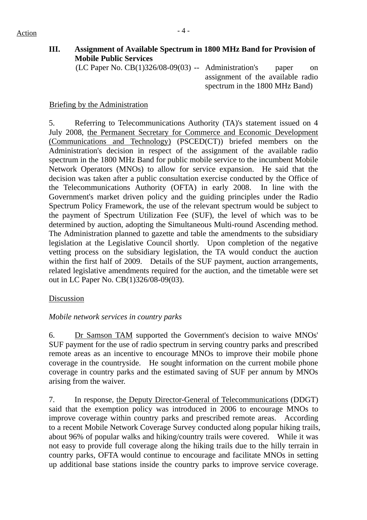# **III. Assignment of Available Spectrum in 1800 MHz Band for Provision of Mobile Public Services**

 $(LC$  Paper No.  $CB(1)326/08-09(03)$  -- Administration's paper on assignment of the available radio spectrum in the 1800 MHz Band)

# Briefing by the Administration

5. Referring to Telecommunications Authority (TA)'s statement issued on 4 July 2008, the Permanent Secretary for Commerce and Economic Development (Communications and Technology) (PSCED(CT)) briefed members on the Administration's decision in respect of the assignment of the available radio spectrum in the 1800 MHz Band for public mobile service to the incumbent Mobile Network Operators (MNOs) to allow for service expansion. He said that the decision was taken after a public consultation exercise conducted by the Office of the Telecommunications Authority (OFTA) in early 2008. In line with the Government's market driven policy and the guiding principles under the Radio Spectrum Policy Framework, the use of the relevant spectrum would be subject to the payment of Spectrum Utilization Fee (SUF), the level of which was to be determined by auction, adopting the Simultaneous Multi-round Ascending method. The Administration planned to gazette and table the amendments to the subsidiary legislation at the Legislative Council shortly. Upon completion of the negative vetting process on the subsidiary legislation, the TA would conduct the auction within the first half of 2009. Details of the SUF payment, auction arrangements, related legislative amendments required for the auction, and the timetable were set out in LC Paper No. CB(1)326/08-09(03).

# Discussion

# *Mobile network services in country parks*

6. Dr Samson TAM supported the Government's decision to waive MNOs' SUF payment for the use of radio spectrum in serving country parks and prescribed remote areas as an incentive to encourage MNOs to improve their mobile phone coverage in the countryside. He sought information on the current mobile phone coverage in country parks and the estimated saving of SUF per annum by MNOs arising from the waiver.

7. In response, the Deputy Director-General of Telecommunications (DDGT) said that the exemption policy was introduced in 2006 to encourage MNOs to improve coverage within country parks and prescribed remote areas. According to a recent Mobile Network Coverage Survey conducted along popular hiking trails, about 96% of popular walks and hiking/country trails were covered. While it was not easy to provide full coverage along the hiking trails due to the hilly terrain in country parks, OFTA would continue to encourage and facilitate MNOs in setting up additional base stations inside the country parks to improve service coverage.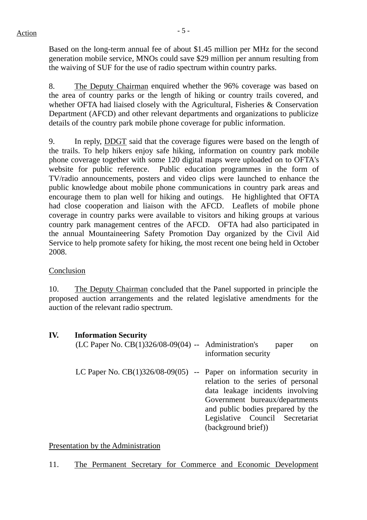Based on the long-term annual fee of about \$1.45 million per MHz for the second generation mobile service, MNOs could save \$29 million per annum resulting from the waiving of SUF for the use of radio spectrum within country parks.

8. The Deputy Chairman enquired whether the 96% coverage was based on the area of country parks or the length of hiking or country trails covered, and whether OFTA had liaised closely with the Agricultural, Fisheries & Conservation Department (AFCD) and other relevant departments and organizations to publicize details of the country park mobile phone coverage for public information.

9. In reply, DDGT said that the coverage figures were based on the length of the trails. To help hikers enjoy safe hiking, information on country park mobile phone coverage together with some 120 digital maps were uploaded on to OFTA's website for public reference. Public education programmes in the form of TV/radio announcements, posters and video clips were launched to enhance the public knowledge about mobile phone communications in country park areas and encourage them to plan well for hiking and outings. He highlighted that OFTA had close cooperation and liaison with the AFCD. Leaflets of mobile phone coverage in country parks were available to visitors and hiking groups at various country park management centres of the AFCD. OFTA had also participated in the annual Mountaineering Safety Promotion Day organized by the Civil Aid Service to help promote safety for hiking, the most recent one being held in October 2008.

# Conclusion

10. The Deputy Chairman concluded that the Panel supported in principle the proposed auction arrangements and the related legislative amendments for the auction of the relevant radio spectrum.

# **IV. Information Security**

| $(LC$ Paper No. $CB(1)326/08-09(04)$ -- Administration's              | paper<br><sub>on</sub><br>information security                                                                                                                                                          |
|-----------------------------------------------------------------------|---------------------------------------------------------------------------------------------------------------------------------------------------------------------------------------------------------|
| LC Paper No. $CB(1)326/08-09(05)$ -- Paper on information security in | relation to the series of personal<br>data leakage incidents involving<br>Government bureaux/departments<br>and public bodies prepared by the<br>Legislative Council Secretariat<br>(background brief)) |

# Presentation by the Administration

11. The Permanent Secretary for Commerce and Economic Development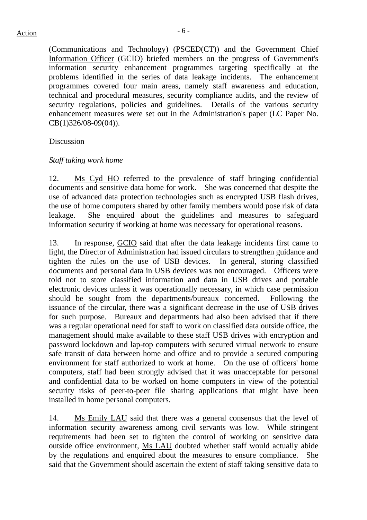(Communications and Technology) (PSCED(CT)) and the Government Chief Information Officer (GCIO) briefed members on the progress of Government's information security enhancement programmes targeting specifically at the problems identified in the series of data leakage incidents. The enhancement programmes covered four main areas, namely staff awareness and education, technical and procedural measures, security compliance audits, and the review of security regulations, policies and guidelines. Details of the various security enhancement measures were set out in the Administration's paper (LC Paper No. CB(1)326/08-09(04)).

#### Discussion

#### *Staff taking work home*

12. Ms Cyd HO referred to the prevalence of staff bringing confidential documents and sensitive data home for work. She was concerned that despite the use of advanced data protection technologies such as encrypted USB flash drives, the use of home computers shared by other family members would pose risk of data leakage. She enquired about the guidelines and measures to safeguard information security if working at home was necessary for operational reasons.

13. In response, GCIO said that after the data leakage incidents first came to light, the Director of Administration had issued circulars to strengthen guidance and tighten the rules on the use of USB devices. In general, storing classified documents and personal data in USB devices was not encouraged. Officers were told not to store classified information and data in USB drives and portable electronic devices unless it was operationally necessary, in which case permission should be sought from the departments/bureaux concerned. Following the issuance of the circular, there was a significant decrease in the use of USB drives for such purpose. Bureaux and departments had also been advised that if there was a regular operational need for staff to work on classified data outside office, the management should make available to these staff USB drives with encryption and password lockdown and lap-top computers with secured virtual network to ensure safe transit of data between home and office and to provide a secured computing environment for staff authorized to work at home. On the use of officers' home computers, staff had been strongly advised that it was unacceptable for personal and confidential data to be worked on home computers in view of the potential security risks of peer-to-peer file sharing applications that might have been installed in home personal computers.

14. Ms Emily LAU said that there was a general consensus that the level of information security awareness among civil servants was low. While stringent requirements had been set to tighten the control of working on sensitive data outside office environment, Ms LAU doubted whether staff would actually abide by the regulations and enquired about the measures to ensure compliance. She said that the Government should ascertain the extent of staff taking sensitive data to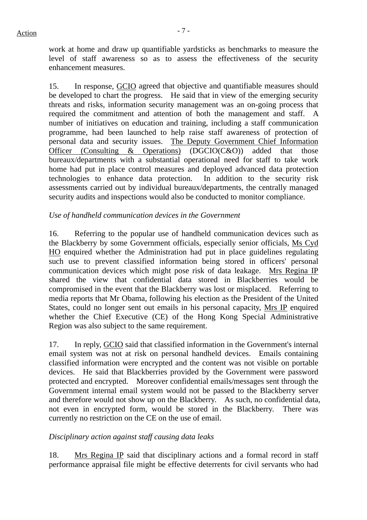work at home and draw up quantifiable yardsticks as benchmarks to measure the level of staff awareness so as to assess the effectiveness of the security enhancement measures.

15. In response, GCIO agreed that objective and quantifiable measures should be developed to chart the progress. He said that in view of the emerging security threats and risks, information security management was an on-going process that required the commitment and attention of both the management and staff. A number of initiatives on education and training, including a staff communication programme, had been launched to help raise staff awareness of protection of personal data and security issues. The Deputy Government Chief Information Officer (Consulting & Operations) (DGCIO(C&O)) added that those bureaux/departments with a substantial operational need for staff to take work home had put in place control measures and deployed advanced data protection technologies to enhance data protection. In addition to the security risk assessments carried out by individual bureaux/departments, the centrally managed security audits and inspections would also be conducted to monitor compliance.

#### *Use of handheld communication devices in the Government*

16. Referring to the popular use of handheld communication devices such as the Blackberry by some Government officials, especially senior officials, Ms Cyd HO enquired whether the Administration had put in place guidelines regulating such use to prevent classified information being stored in officers' personal communication devices which might pose risk of data leakage. Mrs Regina IP shared the view that confidential data stored in Blackberries would be compromised in the event that the Blackberry was lost or misplaced. Referring to media reports that Mr Obama, following his election as the President of the United States, could no longer sent out emails in his personal capacity, Mrs IP enquired whether the Chief Executive (CE) of the Hong Kong Special Administrative Region was also subject to the same requirement.

17. In reply, GCIO said that classified information in the Government's internal email system was not at risk on personal handheld devices. Emails containing classified information were encrypted and the content was not visible on portable devices. He said that Blackberries provided by the Government were password protected and encrypted. Moreover confidential emails/messages sent through the Government internal email system would not be passed to the Blackberry server and therefore would not show up on the Blackberry. As such, no confidential data, not even in encrypted form, would be stored in the Blackberry. There was currently no restriction on the CE on the use of email.

# *Disciplinary action against staff causing data leaks*

18. Mrs Regina IP said that disciplinary actions and a formal record in staff performance appraisal file might be effective deterrents for civil servants who had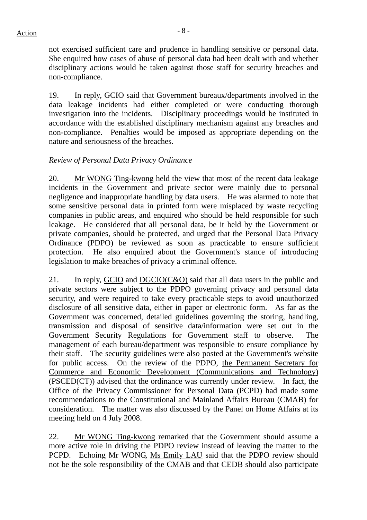not exercised sufficient care and prudence in handling sensitive or personal data. She enquired how cases of abuse of personal data had been dealt with and whether disciplinary actions would be taken against those staff for security breaches and non-compliance.

19. In reply, GCIO said that Government bureaux/departments involved in the data leakage incidents had either completed or were conducting thorough investigation into the incidents. Disciplinary proceedings would be instituted in accordance with the established disciplinary mechanism against any breaches and non-compliance. Penalties would be imposed as appropriate depending on the nature and seriousness of the breaches.

#### *Review of Personal Data Privacy Ordinance*

20. Mr WONG Ting-kwong held the view that most of the recent data leakage incidents in the Government and private sector were mainly due to personal negligence and inappropriate handling by data users. He was alarmed to note that some sensitive personal data in printed form were misplaced by waste recycling companies in public areas, and enquired who should be held responsible for such leakage. He considered that all personal data, be it held by the Government or private companies, should be protected, and urged that the Personal Data Privacy Ordinance (PDPO) be reviewed as soon as practicable to ensure sufficient protection. He also enquired about the Government's stance of introducing legislation to make breaches of privacy a criminal offence.

21. In reply, GCIO and DGCIO(C&O) said that all data users in the public and private sectors were subject to the PDPO governing privacy and personal data security, and were required to take every practicable steps to avoid unauthorized disclosure of all sensitive data, either in paper or electronic form. As far as the Government was concerned, detailed guidelines governing the storing, handling, transmission and disposal of sensitive data/information were set out in the Government Security Regulations for Government staff to observe. The management of each bureau/department was responsible to ensure compliance by their staff. The security guidelines were also posted at the Government's website for public access. On the review of the PDPO, the Permanent Secretary for Commerce and Economic Development (Communications and Technology) (PSCED(CT)) advised that the ordinance was currently under review. In fact, the Office of the Privacy Commissioner for Personal Data (PCPD) had made some recommendations to the Constitutional and Mainland Affairs Bureau (CMAB) for consideration. The matter was also discussed by the Panel on Home Affairs at its meeting held on 4 July 2008.

22. Mr WONG Ting-kwong remarked that the Government should assume a more active role in driving the PDPO review instead of leaving the matter to the PCPD. Echoing Mr WONG, Ms Emily LAU said that the PDPO review should not be the sole responsibility of the CMAB and that CEDB should also participate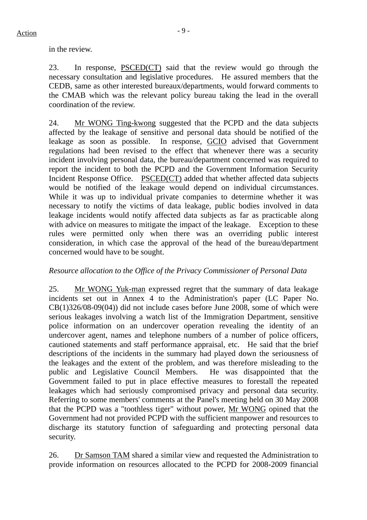in the review.

23. In response, PSCED(CT) said that the review would go through the necessary consultation and legislative procedures. He assured members that the CEDB, same as other interested bureaux/departments, would forward comments to the CMAB which was the relevant policy bureau taking the lead in the overall coordination of the review.

24. Mr WONG Ting-kwong suggested that the PCPD and the data subjects affected by the leakage of sensitive and personal data should be notified of the leakage as soon as possible. In response, GCIO advised that Government regulations had been revised to the effect that whenever there was a security incident involving personal data, the bureau/department concerned was required to report the incident to both the PCPD and the Government Information Security Incident Response Office. PSCED(CT) added that whether affected data subjects would be notified of the leakage would depend on individual circumstances. While it was up to individual private companies to determine whether it was necessary to notify the victims of data leakage, public bodies involved in data leakage incidents would notify affected data subjects as far as practicable along with advice on measures to mitigate the impact of the leakage. Exception to these rules were permitted only when there was an overriding public interest consideration, in which case the approval of the head of the bureau/department concerned would have to be sought.

# *Resource allocation to the Office of the Privacy Commissioner of Personal Data*

25. Mr WONG Yuk-man expressed regret that the summary of data leakage incidents set out in Annex 4 to the Administration's paper (LC Paper No. CB(1)326/08-09(04)) did not include cases before June 2008, some of which were serious leakages involving a watch list of the Immigration Department, sensitive police information on an undercover operation revealing the identity of an undercover agent, names and telephone numbers of a number of police officers, cautioned statements and staff performance appraisal, etc. He said that the brief descriptions of the incidents in the summary had played down the seriousness of the leakages and the extent of the problem, and was therefore misleading to the public and Legislative Council Members. He was disappointed that the Government failed to put in place effective measures to forestall the repeated leakages which had seriously compromised privacy and personal data security. Referring to some members' comments at the Panel's meeting held on 30 May 2008 that the PCPD was a "toothless tiger" without power, Mr WONG opined that the Government had not provided PCPD with the sufficient manpower and resources to discharge its statutory function of safeguarding and protecting personal data security.

26. Dr Samson TAM shared a similar view and requested the Administration to provide information on resources allocated to the PCPD for 2008-2009 financial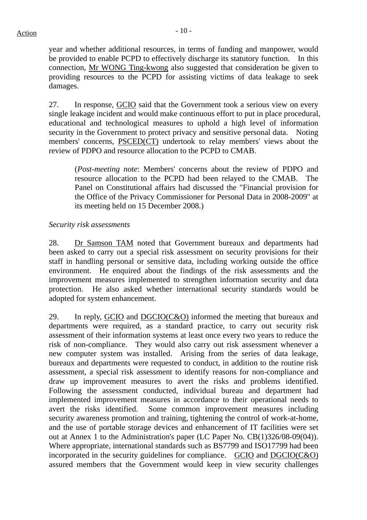year and whether additional resources, in terms of funding and manpower, would be provided to enable PCPD to effectively discharge its statutory function. In this connection, Mr WONG Ting-kwong also suggested that consideration be given to providing resources to the PCPD for assisting victims of data leakage to seek damages.

27. In response, GCIO said that the Government took a serious view on every single leakage incident and would make continuous effort to put in place procedural, educational and technological measures to uphold a high level of information security in the Government to protect privacy and sensitive personal data. Noting members' concerns, PSCED(CT) undertook to relay members' views about the review of PDPO and resource allocation to the PCPD to CMAB.

(*Post-meeting note*: Members' concerns about the review of PDPO and resource allocation to the PCPD had been relayed to the CMAB. The Panel on Constitutional affairs had discussed the "Financial provision for the Office of the Privacy Commissioner for Personal Data in 2008-2009" at its meeting held on 15 December 2008.)

# *Security risk assessments*

28. Dr Samson TAM noted that Government bureaux and departments had been asked to carry out a special risk assessment on security provisions for their staff in handling personal or sensitive data, including working outside the office environment. He enquired about the findings of the risk assessments and the improvement measures implemented to strengthen information security and data protection. He also asked whether international security standards would be adopted for system enhancement.

29. In reply, GCIO and DGCIO(C&O) informed the meeting that bureaux and departments were required, as a standard practice, to carry out security risk assessment of their information systems at least once every two years to reduce the risk of non-compliance. They would also carry out risk assessment whenever a new computer system was installed. Arising from the series of data leakage, bureaux and departments were requested to conduct, in addition to the routine risk assessment, a special risk assessment to identify reasons for non-compliance and draw up improvement measures to avert the risks and problems identified. Following the assessment conducted, individual bureau and department had implemented improvement measures in accordance to their operational needs to avert the risks identified. Some common improvement measures including security awareness promotion and training, tightening the control of work-at-home, and the use of portable storage devices and enhancement of IT facilities were set out at Annex 1 to the Administration's paper (LC Paper No. CB(1)326/08-09(04)). Where appropriate, international standards such as BS7799 and ISO17799 had been incorporated in the security guidelines for compliance. GCIO and DGCIO(C&O) assured members that the Government would keep in view security challenges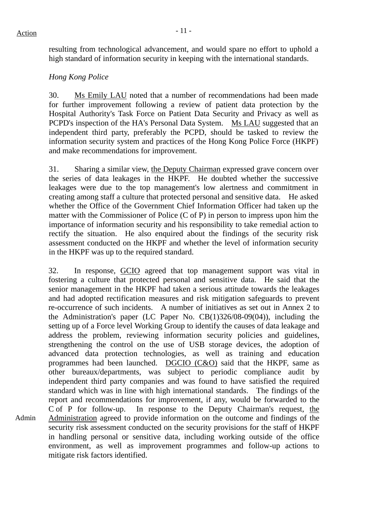Admin

resulting from technological advancement, and would spare no effort to uphold a high standard of information security in keeping with the international standards.

# *Hong Kong Police*

30. Ms Emily LAU noted that a number of recommendations had been made for further improvement following a review of patient data protection by the Hospital Authority's Task Force on Patient Data Security and Privacy as well as PCPD's inspection of the HA's Personal Data System. Ms LAU suggested that an independent third party, preferably the PCPD, should be tasked to review the information security system and practices of the Hong Kong Police Force (HKPF) and make recommendations for improvement.

31. Sharing a similar view, the Deputy Chairman expressed grave concern over the series of data leakages in the HKPF. He doubted whether the successive leakages were due to the top management's low alertness and commitment in creating among staff a culture that protected personal and sensitive data. He asked whether the Office of the Government Chief Information Officer had taken up the matter with the Commissioner of Police (C of P) in person to impress upon him the importance of information security and his responsibility to take remedial action to rectify the situation. He also enquired about the findings of the security risk assessment conducted on the HKPF and whether the level of information security in the HKPF was up to the required standard.

32. In response, GCIO agreed that top management support was vital in fostering a culture that protected personal and sensitive data. He said that the senior management in the HKPF had taken a serious attitude towards the leakages and had adopted rectification measures and risk mitigation safeguards to prevent re-occurrence of such incidents. A number of initiatives as set out in Annex 2 to the Administration's paper (LC Paper No. CB(1)326/08-09(04)), including the setting up of a Force level Working Group to identify the causes of data leakage and address the problem, reviewing information security policies and guidelines, strengthening the control on the use of USB storage devices, the adoption of advanced data protection technologies, as well as training and education programmes had been launched. DGCIO (C&O) said that the HKPF, same as other bureaux/departments, was subject to periodic compliance audit by independent third party companies and was found to have satisfied the required standard which was in line with high international standards. The findings of the report and recommendations for improvement, if any, would be forwarded to the C of P for follow-up. In response to the Deputy Chairman's request, the Administration agreed to provide information on the outcome and findings of the security risk assessment conducted on the security provisions for the staff of HKPF in handling personal or sensitive data, including working outside of the office environment, as well as improvement programmes and follow-up actions to mitigate risk factors identified.